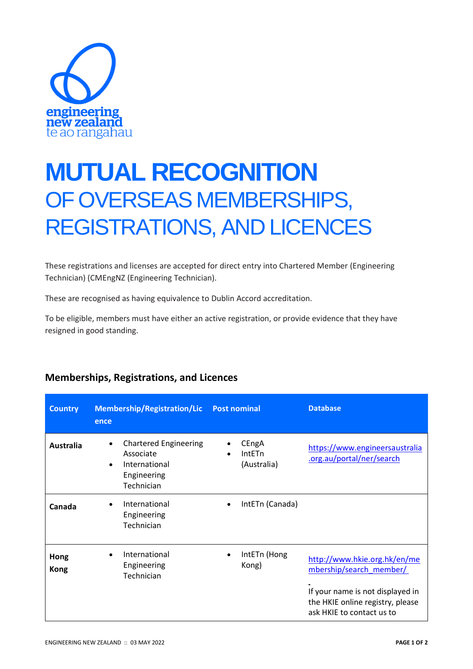

## **MUTUAL RECOGNITION** OF OVERSEAS MEMBERSHIPS, REGISTRATIONS, AND LICENCES

These registrations and licenses are accepted for direct entry into Chartered Member (Engineering Technician) (CMEngNZ (Engineering Technician).

These are recognised as having equivalence to Dublin Accord accreditation.

To be eligible, members must have either an active registration, or provide evidence that they have resigned in good standing.

| <b>Country</b>      | <b>Membership/Registration/Lic</b><br>ence                                                                        | <b>Post nominal</b>            | <b>Database</b>                                                                                                                                              |
|---------------------|-------------------------------------------------------------------------------------------------------------------|--------------------------------|--------------------------------------------------------------------------------------------------------------------------------------------------------------|
| <b>Australia</b>    | <b>Chartered Engineering</b><br>$\bullet$<br>Associate<br>International<br>$\bullet$<br>Engineering<br>Technician | CEngA<br>IntETn<br>(Australia) | https://www.engineersaustralia<br>.org.au/portal/ner/search                                                                                                  |
| Canada              | International<br>$\bullet$<br>Engineering<br>Technician                                                           | IntETn (Canada)<br>$\bullet$   |                                                                                                                                                              |
| Hong<br><b>Kong</b> | International<br>Engineering<br>Technician                                                                        | IntETn (Hong<br>Kong)          | http://www.hkie.org.hk/en/me<br>mbership/search member/<br>If your name is not displayed in<br>the HKIE online registry, please<br>ask HKIE to contact us to |

## **Memberships, Registrations, and Licences**